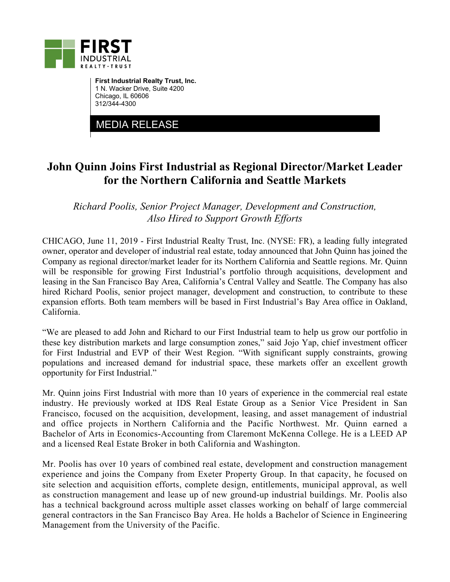

**First Industrial Realty Trust, Inc.**  1 N. Wacker Drive, Suite 4200 Chicago, IL 60606 312/344-4300

MEDIA RELEASE

## **John Quinn Joins First Industrial as Regional Director/Market Leader for the Northern California and Seattle Markets**

*Richard Poolis, Senior Project Manager, Development and Construction, Also Hired to Support Growth Efforts* 

CHICAGO, June 11, 2019 - First Industrial Realty Trust, Inc. (NYSE: FR), a leading fully integrated owner, operator and developer of industrial real estate, today announced that John Quinn has joined the Company as regional director/market leader for its Northern California and Seattle regions. Mr. Quinn will be responsible for growing First Industrial's portfolio through acquisitions, development and leasing in the San Francisco Bay Area, California's Central Valley and Seattle. The Company has also hired Richard Poolis, senior project manager, development and construction, to contribute to these expansion efforts. Both team members will be based in First Industrial's Bay Area office in Oakland, California.

"We are pleased to add John and Richard to our First Industrial team to help us grow our portfolio in these key distribution markets and large consumption zones," said Jojo Yap, chief investment officer for First Industrial and EVP of their West Region. "With significant supply constraints, growing populations and increased demand for industrial space, these markets offer an excellent growth opportunity for First Industrial."

Mr. Quinn joins First Industrial with more than 10 years of experience in the commercial real estate industry. He previously worked at IDS Real Estate Group as a Senior Vice President in San Francisco, focused on the acquisition, development, leasing, and asset management of industrial and office projects in Northern California and the Pacific Northwest. Mr. Quinn earned a Bachelor of Arts in Economics-Accounting from Claremont McKenna College. He is a LEED AP and a licensed Real Estate Broker in both California and Washington.

Mr. Poolis has over 10 years of combined real estate, development and construction management experience and joins the Company from Exeter Property Group. In that capacity, he focused on site selection and acquisition efforts, complete design, entitlements, municipal approval, as well as construction management and lease up of new ground-up industrial buildings. Mr. Poolis also has a technical background across multiple asset classes working on behalf of large commercial general contractors in the San Francisco Bay Area. He holds a Bachelor of Science in Engineering Management from the University of the Pacific.